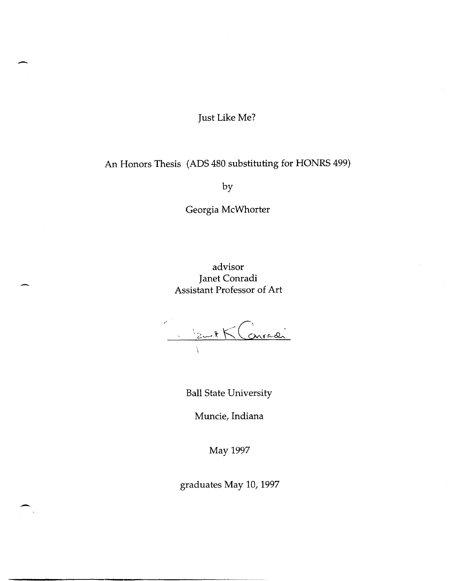## Just Like Me?

-

-

# An Honors Thesis (ADS 480 substituting for HONRS 499)

by

Georgia McWhorter

advisor Janet Conradi Assistant Professor of Art

Bank Convadi

Ball State University

Muncie, Indiana

May 1997

graduates May 10, 1997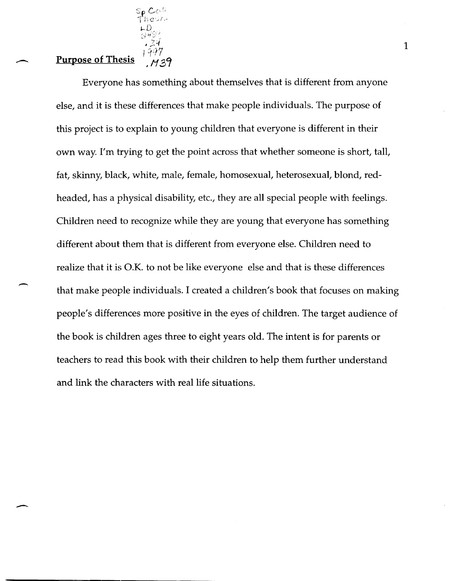#### **Purpose of Thesis**  429

 $Sp$  Co<sup>11</sup>  $\int h e^{\gamma}$ 

..-

-

-

Everyone has something about themselves that is different from anyone else, and it is these differences that make people individuals. The purpose of this project is to explain to young children that everyone is different in their own way. I'm trying to get the point across that whether someone is short, tall, fat, skinny, black, white, male, female, homosexual, heterosexual, blond, redheaded, has a physical disability, etc., they are all special people with feelings. Children need to recognize while they are young that everyone has something different about them that is different from everyone else. Children need to realize that it is O.K. to not be like everyone else and that is these differences that make people individuals. I created a children's book that focuses on making people's differences more positive in the eyes of children. The target audience of the book is children ages three to eight years old. The intent is for parents or teachers to read this book with their children to help them further understand and link the characters with real life situations.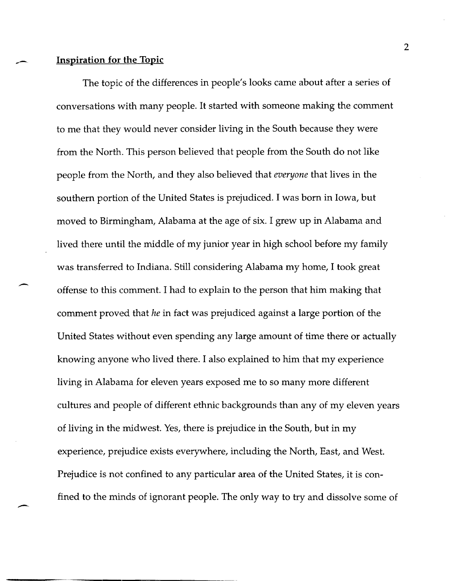#### \_ **Inspiration for the Topic**

 $\overline{\phantom{0}}$ 

-

The topic of the differences in people's looks came about after a series of conversations with many people. It started with someone making the comment to me that they would never consider living in the South because they were from the North. This person believed that people from the South do not like people from the North, and they also believed that *everyone* that lives in the southern portion of the United States is prejudiced. I was born in Iowa, but moved to Birmingham, Alabama at the age of six. I grew up in Alabama and lived there until the middle of my junior year in high school before my family was transferred to Indiana. Still considering Alabama my home, I took great offense to this comment. I had to explain to the person that him making that comment proved that *he* in fact was prejudiced against a large portion of the United States without even spending any large amount of time there or actually knowing anyone who lived there. I also explained to him that my experience living in Alabama for eleven years exposed me to so many more different cultures and people of different ethnic backgrounds than any of my eleven years of living in the midwest. Yes, there is prejudice in the South, but in my experience, prejudice exists everywhere, including the North, East, and West. Prejudice is not confined to any particular area of the United States, it is confined to the minds of ignorant people. The only way to try and dissolve some of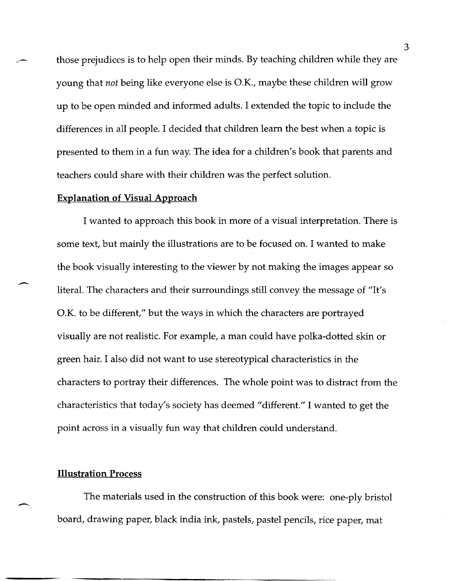those prejudices is to help open their minds. By teaching children while they are young that *not* being like everyone else is O.K., maybe these children will grow up to be open minded and informed adults. I extended the topic to include the differences in all people. I decided that children learn the best when a topic is presented to them in a fun way. The idea for a children's book that parents and teachers could share with their children was the perfect solution.

#### Explanation of Visual Approach

I wanted to approach this book in more of a visual interpretation. There is some text, but mainly the illustrations are to be focused on. I wanted to make the book visually interesting to the viewer by not making the images appear so literal. The characters and their surroundings still convey the message of "It's O.K. to be different," but the ways in which the characters are portrayed visually are not realistic. For example, a man could have polka-dotted skin or green hair. I also did not want to use stereotypical characteristics in the characters to portray their differences. The whole point was to distract from the characteristics that today's society has deemed "different." I wanted to get the point across in a visually fun way that children could understand.

### Illustration Process

-

-.

The materials used in the construction of this book were: one-ply bristol board, drawing paper, black india ink, pastels, pastel pencils, rice paper, mat